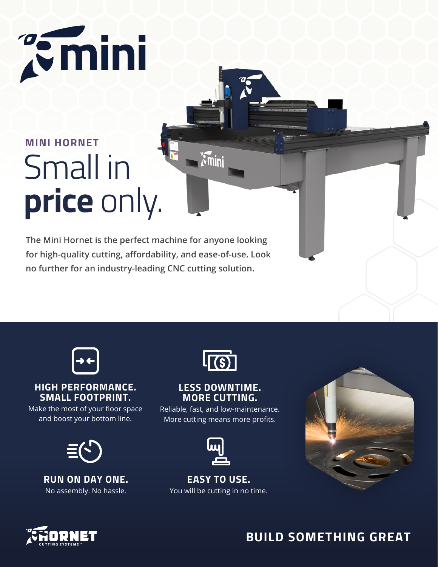# **Pemini**

# Small in **price** only. **MINI HORNET**

**The Mini Hornet is the perfect machine for anyone looking for high-quality cutting, affordability, and ease-of-use. Look no further for an industry-leading CNC cutting solution.**



#### **HIGH PERFORMANCE. SMALL FOOTPRINT.**

Make the most of your floor space and boost your bottom line.



**RUN ON DAY ONE.**  No assembly. No hassle.



 $\sqrt{\lambda}$ mini

#### **LESS DOWNTIME. MORE CUTTING.**

Reliable, fast, and low-maintenance. More cutting means more profits.

**EASY TO USE.**  You will be cutting in no time.





### **BUILD SOMETHING GREAT**